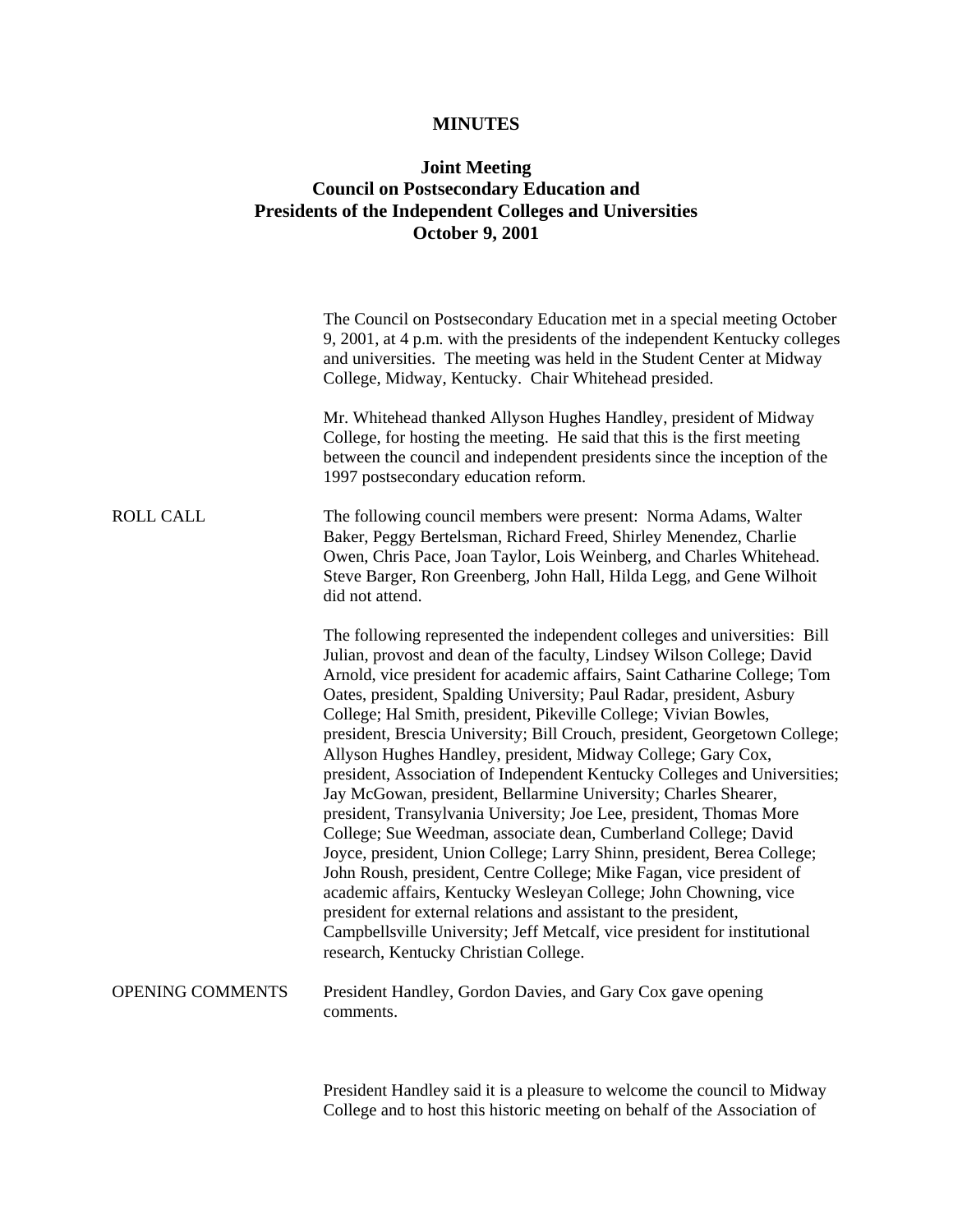## **MINUTES**

## **Joint Meeting Council on Postsecondary Education and Presidents of the Independent Colleges and Universities October 9, 2001**

|                  | The Council on Postsecondary Education met in a special meeting October<br>9, 2001, at 4 p.m. with the presidents of the independent Kentucky colleges<br>and universities. The meeting was held in the Student Center at Midway<br>College, Midway, Kentucky. Chair Whitehead presided.                                                                                                                                                                                                                                                                                                                                                                                                                                                                                                                                                                                                                                                                                                                                                                                                                                                                                                                                              |
|------------------|---------------------------------------------------------------------------------------------------------------------------------------------------------------------------------------------------------------------------------------------------------------------------------------------------------------------------------------------------------------------------------------------------------------------------------------------------------------------------------------------------------------------------------------------------------------------------------------------------------------------------------------------------------------------------------------------------------------------------------------------------------------------------------------------------------------------------------------------------------------------------------------------------------------------------------------------------------------------------------------------------------------------------------------------------------------------------------------------------------------------------------------------------------------------------------------------------------------------------------------|
|                  | Mr. Whitehead thanked Allyson Hughes Handley, president of Midway<br>College, for hosting the meeting. He said that this is the first meeting<br>between the council and independent presidents since the inception of the<br>1997 postsecondary education reform.                                                                                                                                                                                                                                                                                                                                                                                                                                                                                                                                                                                                                                                                                                                                                                                                                                                                                                                                                                    |
| <b>ROLL CALL</b> | The following council members were present: Norma Adams, Walter<br>Baker, Peggy Bertelsman, Richard Freed, Shirley Menendez, Charlie<br>Owen, Chris Pace, Joan Taylor, Lois Weinberg, and Charles Whitehead.<br>Steve Barger, Ron Greenberg, John Hall, Hilda Legg, and Gene Wilhoit<br>did not attend.                                                                                                                                                                                                                                                                                                                                                                                                                                                                                                                                                                                                                                                                                                                                                                                                                                                                                                                               |
|                  | The following represented the independent colleges and universities: Bill<br>Julian, provost and dean of the faculty, Lindsey Wilson College; David<br>Arnold, vice president for academic affairs, Saint Catharine College; Tom<br>Oates, president, Spalding University; Paul Radar, president, Asbury<br>College; Hal Smith, president, Pikeville College; Vivian Bowles,<br>president, Brescia University; Bill Crouch, president, Georgetown College;<br>Allyson Hughes Handley, president, Midway College; Gary Cox,<br>president, Association of Independent Kentucky Colleges and Universities;<br>Jay McGowan, president, Bellarmine University; Charles Shearer,<br>president, Transylvania University; Joe Lee, president, Thomas More<br>College; Sue Weedman, associate dean, Cumberland College; David<br>Joyce, president, Union College; Larry Shinn, president, Berea College;<br>John Roush, president, Centre College; Mike Fagan, vice president of<br>academic affairs, Kentucky Wesleyan College; John Chowning, vice<br>president for external relations and assistant to the president,<br>Campbellsville University; Jeff Metcalf, vice president for institutional<br>research, Kentucky Christian College. |
| OPENING COMMENTS | President Handley, Gordon Davies, and Gary Cox gave opening<br>comments.                                                                                                                                                                                                                                                                                                                                                                                                                                                                                                                                                                                                                                                                                                                                                                                                                                                                                                                                                                                                                                                                                                                                                              |
|                  | President Handley said it is a pleasure to welcome the council to Midway                                                                                                                                                                                                                                                                                                                                                                                                                                                                                                                                                                                                                                                                                                                                                                                                                                                                                                                                                                                                                                                                                                                                                              |

College and to host this historic meeting on behalf of the Association of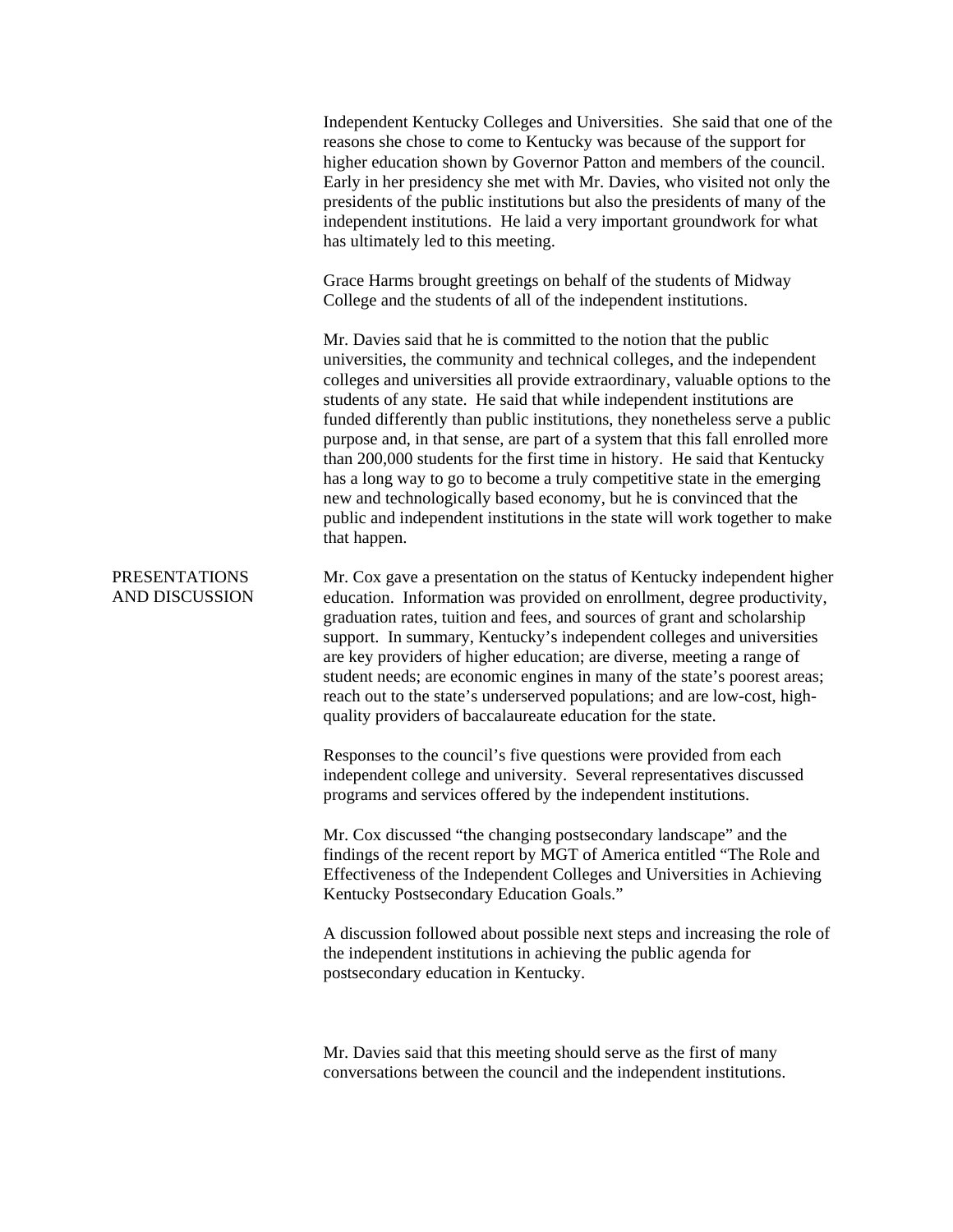Independent Kentucky Colleges and Universities. She said that one of the reasons she chose to come to Kentucky was because of the support for higher education shown by Governor Patton and members of the council. Early in her presidency she met with Mr. Davies, who visited not only the presidents of the public institutions but also the presidents of many of the independent institutions. He laid a very important groundwork for what has ultimately led to this meeting.

Grace Harms brought greetings on behalf of the students of Midway College and the students of all of the independent institutions.

Mr. Davies said that he is committed to the notion that the public universities, the community and technical colleges, and the independent colleges and universities all provide extraordinary, valuable options to the students of any state. He said that while independent institutions are funded differently than public institutions, they nonetheless serve a public purpose and, in that sense, are part of a system that this fall enrolled more than 200,000 students for the first time in history. He said that Kentucky has a long way to go to become a truly competitive state in the emerging new and technologically based economy, but he is convinced that the public and independent institutions in the state will work together to make that happen.

PRESENTATIONS AND DISCUSSION Mr. Cox gave a presentation on the status of Kentucky independent higher education. Information was provided on enrollment, degree productivity, graduation rates, tuition and fees, and sources of grant and scholarship support. In summary, Kentucky's independent colleges and universities are key providers of higher education; are diverse, meeting a range of student needs; are economic engines in many of the state's poorest areas; reach out to the state's underserved populations; and are low-cost, highquality providers of baccalaureate education for the state.

> Responses to the council's five questions were provided from each independent college and university. Several representatives discussed programs and services offered by the independent institutions.

Mr. Cox discussed "the changing postsecondary landscape" and the findings of the recent report by MGT of America entitled "The Role and Effectiveness of the Independent Colleges and Universities in Achieving Kentucky Postsecondary Education Goals."

A discussion followed about possible next steps and increasing the role of the independent institutions in achieving the public agenda for postsecondary education in Kentucky.

Mr. Davies said that this meeting should serve as the first of many conversations between the council and the independent institutions.